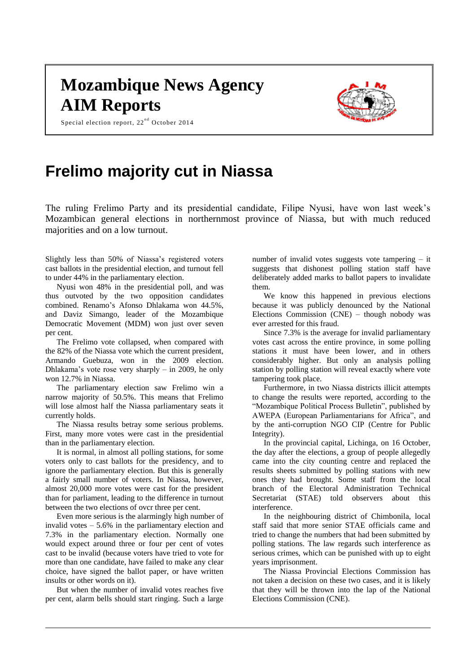## **Mozambique News Agency AIM Reports**

Special election report,  $22^{nd}$  October 2014



## **Frelimo majority cut in Niassa**

The ruling Frelimo Party and its presidential candidate, Filipe Nyusi, have won last week's Mozambican general elections in northernmost province of Niassa, but with much reduced majorities and on a low turnout.

Slightly less than 50% of Niassa's registered voters cast ballots in the presidential election, and turnout fell to under 44% in the parliamentary election.

Nyusi won 48% in the presidential poll, and was thus outvoted by the two opposition candidates combined. Renamo's Afonso Dhlakama won 44.5%, and Daviz Simango, leader of the Mozambique Democratic Movement (MDM) won just over seven per cent.

The Frelimo vote collapsed, when compared with the 82% of the Niassa vote which the current president, Armando Guebuza, won in the 2009 election. Dhlakama's vote rose very sharply – in 2009, he only won 12.7% in Niassa.

The parliamentary election saw Frelimo win a narrow majority of 50.5%. This means that Frelimo will lose almost half the Niassa parliamentary seats it currently holds.

The Niassa results betray some serious problems. First, many more votes were cast in the presidential than in the parliamentary election.

It is normal, in almost all polling stations, for some voters only to cast ballots for the presidency, and to ignore the parliamentary election. But this is generally a fairly small number of voters. In Niassa, however, almost 20,000 more votes were cast for the president than for parliament, leading to the difference in turnout between the two elections of ovcr three per cent.

Even more serious is the alarmingly high number of invalid votes  $-5.6\%$  in the parliamentary election and 7.3% in the parliamentary election. Normally one would expect around three or four per cent of votes cast to be invalid (because voters have tried to vote for more than one candidate, have failed to make any clear choice, have signed the ballot paper, or have written insults or other words on it).

But when the number of invalid votes reaches five per cent, alarm bells should start ringing. Such a large number of invalid votes suggests vote tampering – it suggests that dishonest polling station staff have deliberately added marks to ballot papers to invalidate them.

We know this happened in previous elections because it was publicly denounced by the National Elections Commission (CNE) – though nobody was ever arrested for this fraud.

Since 7.3% is the average for invalid parliamentary votes cast across the entire province, in some polling stations it must have been lower, and in others considerably higher. But only an analysis polling station by polling station will reveal exactly where vote tampering took place.

Furthermore, in two Niassa districts illicit attempts to change the results were reported, according to the "Mozambique Political Process Bulletin", published by AWEPA (European Parliamentarians for Africa", and by the anti-corruption NGO CIP (Centre for Public Integrity).

In the provincial capital, Lichinga, on 16 October, the day after the elections, a group of people allegedly came into the city counting centre and replaced the results sheets submitted by polling stations with new ones they had brought. Some staff from the local branch of the Electoral Administration Technical Secretariat (STAE) told observers about this interference.

In the neighbouring district of Chimbonila, local staff said that more senior STAE officials came and tried to change the numbers that had been submitted by polling stations. The law regards such interference as serious crimes, which can be punished with up to eight years imprisonment.

The Niassa Provincial Elections Commission has not taken a decision on these two cases, and it is likely that they will be thrown into the lap of the National Elections Commission (CNE).